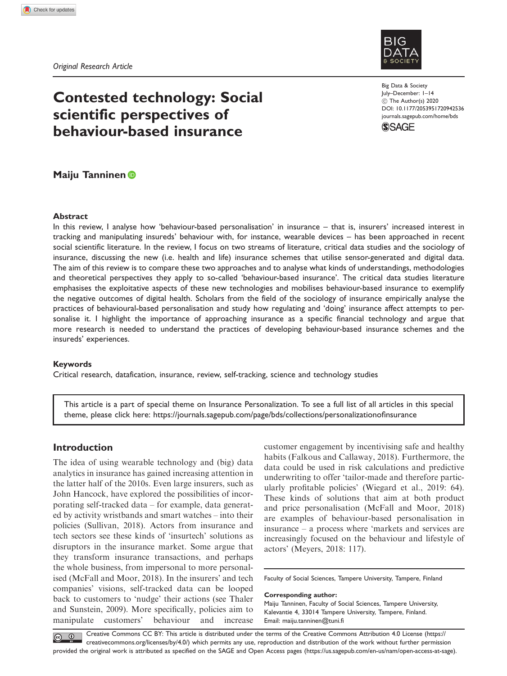Original Research Article



# Contested technology: Social scientific perspectives of behaviour-based insurance

# Maiju Tanninen

## Abstract

In this review, I analyse how 'behaviour-based personalisation' in insurance – that is, insurers' increased interest in tracking and manipulating insureds' behaviour with, for instance, wearable devices – has been approached in recent social scientific literature. In the review, I focus on two streams of literature, critical data studies and the sociology of insurance, discussing the new (i.e. health and life) insurance schemes that utilise sensor-generated and digital data. The aim of this review is to compare these two approaches and to analyse what kinds of understandings, methodologies and theoretical perspectives they apply to so-called 'behaviour-based insurance'. The critical data studies literature emphasises the exploitative aspects of these new technologies and mobilises behaviour-based insurance to exemplify the negative outcomes of digital health. Scholars from the field of the sociology of insurance empirically analyse the practices of behavioural-based personalisation and study how regulating and 'doing' insurance affect attempts to personalise it. I highlight the importance of approaching insurance as a specific financial technology and argue that more research is needed to understand the practices of developing behaviour-based insurance schemes and the insureds' experiences.

## Keywords

Critical research, datafication, insurance, review, self-tracking, science and technology studies

This article is a part of special theme on Insurance Personalization. To see a full list of all articles in this special theme, please click here:<https://journals.sagepub.com/page/bds/collections/personalizationofinsurance>

# Introduction

The idea of using wearable technology and (big) data analytics in insurance has gained increasing attention in the latter half of the 2010s. Even large insurers, such as John Hancock, have explored the possibilities of incorporating self-tracked data – for example, data generated by activity wristbands and smart watches – into their policies (Sullivan, 2018). Actors from insurance and tech sectors see these kinds of 'insurtech' solutions as disruptors in the insurance market. Some argue that they transform insurance transactions, and perhaps the whole business, from impersonal to more personalised (McFall and Moor, 2018). In the insurers' and tech companies' visions, self-tracked data can be looped back to customers to 'nudge' their actions (see Thaler and Sunstein, 2009). More specifically, policies aim to manipulate customers' behaviour and increase

customer engagement by incentivising safe and healthy habits (Falkous and Callaway, 2018). Furthermore, the data could be used in risk calculations and predictive underwriting to offer 'tailor-made and therefore particularly profitable policies' (Wiegard et al., 2019: 64). These kinds of solutions that aim at both product and price personalisation (McFall and Moor, 2018) are examples of behaviour-based personalisation in insurance – a process where 'markets and services are increasingly focused on the behaviour and lifestyle of actors' (Meyers, 2018: 117).

Faculty of Social Sciences, Tampere University, Tampere, Finland

#### Corresponding author:

Maiju Tanninen, Faculty of Social Sciences, Tampere University, Kalevantie 4, 33014 Tampere University, Tampere, Finland. Email: [maiju.tanninen@tuni.fi](mailto:maiju.tanninen@tuni.fi)

Creative Commons CC BY: This article is distributed under the terms of the Creative Commons Attribution 4.0 License (https:// creativecommons.org/licenses/by/4.0/) which permits any use, reproduction and distribution of the work without further permission provided the original work is attributed as specified on the SAGE and Open Access pages (https://us.sagepub.com/en-us/nam/open-access-at-sage).

Big Data & Society July–December: 1–14  $\circledcirc$  The Author(s) 2020 [DOI: 10.1177/2053951720942536](http://dx.doi.org/10.1177/2053951720942536) <journals.sagepub.com/home/bds>

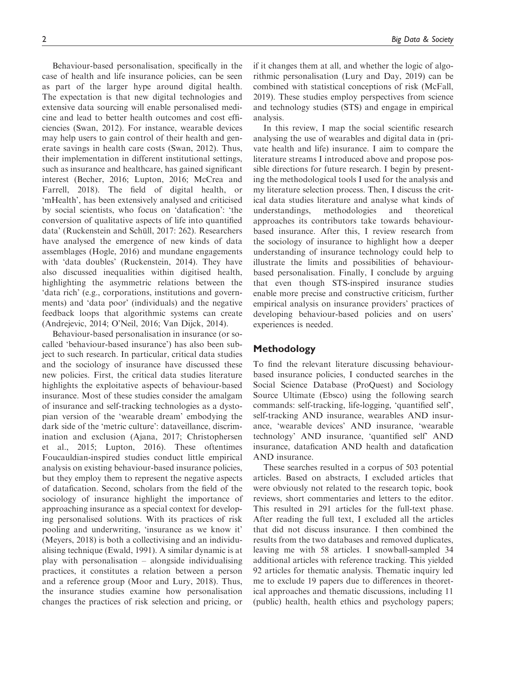Behaviour-based personalisation, specifically in the case of health and life insurance policies, can be seen as part of the larger hype around digital health. The expectation is that new digital technologies and extensive data sourcing will enable personalised medicine and lead to better health outcomes and cost efficiencies (Swan, 2012). For instance, wearable devices may help users to gain control of their health and generate savings in health care costs (Swan, 2012). Thus, their implementation in different institutional settings, such as insurance and healthcare, has gained significant interest (Becher, 2016; Lupton, 2016; McCrea and Farrell, 2018). The field of digital health, or 'mHealth', has been extensively analysed and criticised by social scientists, who focus on 'datafication': 'the conversion of qualitative aspects of life into quantified data' (Ruckenstein and Schüll, 2017: 262). Researchers have analysed the emergence of new kinds of data assemblages (Hogle, 2016) and mundane engagements with 'data doubles' (Ruckenstein, 2014). They have also discussed inequalities within digitised health, highlighting the asymmetric relations between the 'data rich' (e.g., corporations, institutions and governments) and 'data poor' (individuals) and the negative feedback loops that algorithmic systems can create (Andrejevic, 2014; O'Neil, 2016; Van Dijck, 2014).

Behaviour-based personalisation in insurance (or socalled 'behaviour-based insurance') has also been subject to such research. In particular, critical data studies and the sociology of insurance have discussed these new policies. First, the critical data studies literature highlights the exploitative aspects of behaviour-based insurance. Most of these studies consider the amalgam of insurance and self-tracking technologies as a dystopian version of the 'wearable dream' embodying the dark side of the 'metric culture': dataveillance, discrimination and exclusion (Ajana, 2017; Christophersen et al., 2015; Lupton, 2016). These oftentimes Foucauldian-inspired studies conduct little empirical analysis on existing behaviour-based insurance policies, but they employ them to represent the negative aspects of datafication. Second, scholars from the field of the sociology of insurance highlight the importance of approaching insurance as a special context for developing personalised solutions. With its practices of risk pooling and underwriting, 'insurance as we know it' (Meyers, 2018) is both a collectivising and an individualising technique (Ewald, 1991). A similar dynamic is at play with personalisation – alongside individualising practices, it constitutes a relation between a person and a reference group (Moor and Lury, 2018). Thus, the insurance studies examine how personalisation changes the practices of risk selection and pricing, or if it changes them at all, and whether the logic of algorithmic personalisation (Lury and Day, 2019) can be combined with statistical conceptions of risk (McFall, 2019). These studies employ perspectives from science and technology studies (STS) and engage in empirical analysis.

In this review, I map the social scientific research analysing the use of wearables and digital data in (private health and life) insurance. I aim to compare the literature streams I introduced above and propose possible directions for future research. I begin by presenting the methodological tools I used for the analysis and my literature selection process. Then, I discuss the critical data studies literature and analyse what kinds of understandings, methodologies and theoretical approaches its contributors take towards behaviourbased insurance. After this, I review research from the sociology of insurance to highlight how a deeper understanding of insurance technology could help to illustrate the limits and possibilities of behaviourbased personalisation. Finally, I conclude by arguing that even though STS-inspired insurance studies enable more precise and constructive criticism, further empirical analysis on insurance providers' practices of developing behaviour-based policies and on users' experiences is needed.

# Methodology

To find the relevant literature discussing behaviourbased insurance policies, I conducted searches in the Social Science Database (ProQuest) and Sociology Source Ultimate (Ebsco) using the following search commands: self-tracking, life-logging, 'quantified self', self-tracking AND insurance, wearables AND insurance, 'wearable devices' AND insurance, 'wearable technology' AND insurance, 'quantified self' AND insurance, datafication AND health and datafication AND insurance.

These searches resulted in a corpus of 503 potential articles. Based on abstracts, I excluded articles that were obviously not related to the research topic, book reviews, short commentaries and letters to the editor. This resulted in 291 articles for the full-text phase. After reading the full text, I excluded all the articles that did not discuss insurance. I then combined the results from the two databases and removed duplicates, leaving me with 58 articles. I snowball-sampled 34 additional articles with reference tracking. This yielded 92 articles for thematic analysis. Thematic inquiry led me to exclude 19 papers due to differences in theoretical approaches and thematic discussions, including 11 (public) health, health ethics and psychology papers;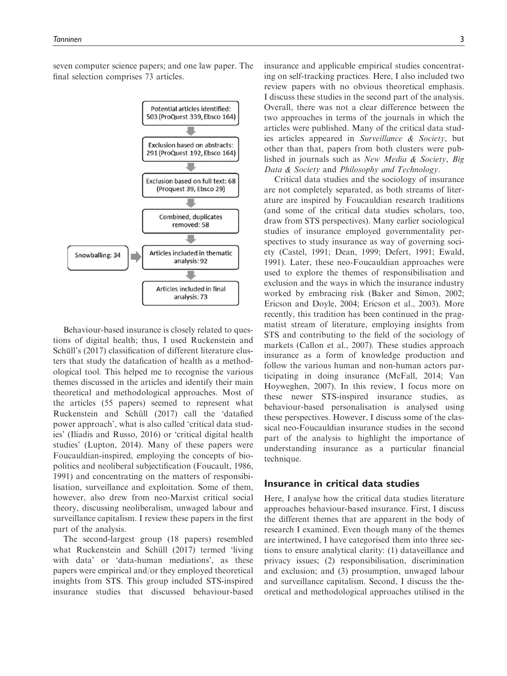

Behaviour-based insurance is closely related to questions of digital health; thus, I used Ruckenstein and Schüll's (2017) classification of different literature clusters that study the datafication of health as a methodological tool. This helped me to recognise the various themes discussed in the articles and identify their main theoretical and methodological approaches. Most of the articles (55 papers) seemed to represent what Ruckenstein and Schüll (2017) call the 'datafied power approach', what is also called 'critical data studies' (Iliadis and Russo, 2016) or 'critical digital health studies' (Lupton, 2014). Many of these papers were Foucauldian-inspired, employing the concepts of biopolitics and neoliberal subjectification (Foucault, 1986, 1991) and concentrating on the matters of responsibilisation, surveillance and exploitation. Some of them, however, also drew from neo-Marxist critical social theory, discussing neoliberalism, unwaged labour and surveillance capitalism. I review these papers in the first part of the analysis.

The second-largest group (18 papers) resembled what Ruckenstein and Schüll (2017) termed 'living with data' or 'data-human mediations', as these papers were empirical and/or they employed theoretical insights from STS. This group included STS-inspired insurance studies that discussed behaviour-based insurance and applicable empirical studies concentrating on self-tracking practices. Here, I also included two review papers with no obvious theoretical emphasis. I discuss these studies in the second part of the analysis. Overall, there was not a clear difference between the two approaches in terms of the journals in which the articles were published. Many of the critical data studies articles appeared in Surveillance & Society, but other than that, papers from both clusters were published in journals such as New Media & Society, Big Data & Society and Philosophy and Technology.

Critical data studies and the sociology of insurance are not completely separated, as both streams of literature are inspired by Foucauldian research traditions (and some of the critical data studies scholars, too, draw from STS perspectives). Many earlier sociological studies of insurance employed governmentality perspectives to study insurance as way of governing society (Castel, 1991; Dean, 1999; Defert, 1991; Ewald, 1991). Later, these neo-Foucauldian approaches were used to explore the themes of responsibilisation and exclusion and the ways in which the insurance industry worked by embracing risk (Baker and Simon, 2002; Ericson and Doyle, 2004; Ericson et al., 2003). More recently, this tradition has been continued in the pragmatist stream of literature, employing insights from STS and contributing to the field of the sociology of markets (Callon et al., 2007). These studies approach insurance as a form of knowledge production and follow the various human and non-human actors participating in doing insurance (McFall, 2014; Van Hoyweghen, 2007). In this review, I focus more on these newer STS-inspired insurance studies, as behaviour-based personalisation is analysed using these perspectives. However, I discuss some of the classical neo-Foucauldian insurance studies in the second part of the analysis to highlight the importance of understanding insurance as a particular financial technique.

# Insurance in critical data studies

Here, I analyse how the critical data studies literature approaches behaviour-based insurance. First, I discuss the different themes that are apparent in the body of research I examined. Even though many of the themes are intertwined, I have categorised them into three sections to ensure analytical clarity: (1) dataveillance and privacy issues; (2) responsibilisation, discrimination and exclusion; and (3) prosumption, unwaged labour and surveillance capitalism. Second, I discuss the theoretical and methodological approaches utilised in the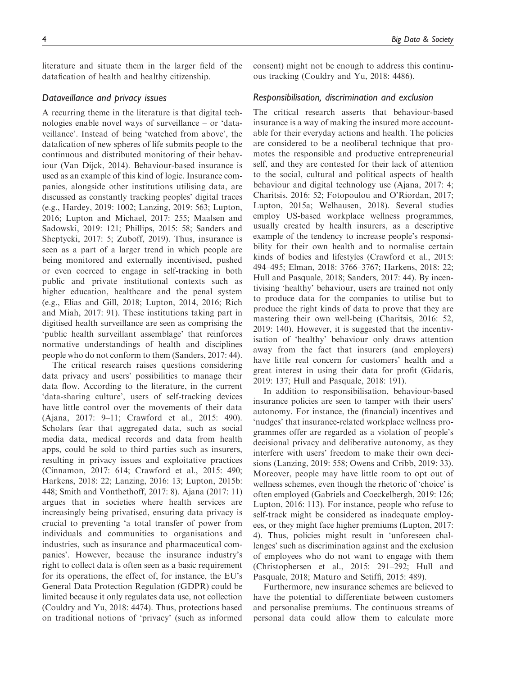literature and situate them in the larger field of the datafication of health and healthy citizenship.

# Dataveillance and privacy issues

A recurring theme in the literature is that digital technologies enable novel ways of surveillance – or 'dataveillance'. Instead of being 'watched from above', the datafication of new spheres of life submits people to the continuous and distributed monitoring of their behaviour (Van Dijck, 2014). Behaviour-based insurance is used as an example of this kind of logic. Insurance companies, alongside other institutions utilising data, are discussed as constantly tracking peoples' digital traces (e.g., Hardey, 2019: 1002; Lanzing, 2019: 563; Lupton, 2016; Lupton and Michael, 2017: 255; Maalsen and Sadowski, 2019: 121; Phillips, 2015: 58; Sanders and Sheptycki, 2017: 5; Zuboff, 2019). Thus, insurance is seen as a part of a larger trend in which people are being monitored and externally incentivised, pushed or even coerced to engage in self-tracking in both public and private institutional contexts such as higher education, healthcare and the penal system (e.g., Elias and Gill, 2018; Lupton, 2014, 2016; Rich and Miah, 2017: 91). These institutions taking part in digitised health surveillance are seen as comprising the 'public health surveillant assemblage' that reinforces normative understandings of health and disciplines people who do not conform to them (Sanders, 2017: 44).

The critical research raises questions considering data privacy and users' possibilities to manage their data flow. According to the literature, in the current 'data-sharing culture', users of self-tracking devices have little control over the movements of their data (Ajana, 2017: 9–11; Crawford et al., 2015: 490). Scholars fear that aggregated data, such as social media data, medical records and data from health apps, could be sold to third parties such as insurers, resulting in privacy issues and exploitative practices (Cinnamon, 2017: 614; Crawford et al., 2015: 490; Harkens, 2018: 22; Lanzing, 2016: 13; Lupton, 2015b: 448; Smith and Vonthethoff, 2017: 8). Ajana (2017: 11) argues that in societies where health services are increasingly being privatised, ensuring data privacy is crucial to preventing 'a total transfer of power from individuals and communities to organisations and industries, such as insurance and pharmaceutical companies'. However, because the insurance industry's right to collect data is often seen as a basic requirement for its operations, the effect of, for instance, the EU's General Data Protection Regulation (GDPR) could be limited because it only regulates data use, not collection (Couldry and Yu, 2018: 4474). Thus, protections based on traditional notions of 'privacy' (such as informed consent) might not be enough to address this continuous tracking (Couldry and Yu, 2018: 4486).

## Responsibilisation, discrimination and exclusion

The critical research asserts that behaviour-based insurance is a way of making the insured more accountable for their everyday actions and health. The policies are considered to be a neoliberal technique that promotes the responsible and productive entrepreneurial self, and they are contested for their lack of attention to the social, cultural and political aspects of health behaviour and digital technology use (Ajana, 2017: 4; Charitsis, 2016: 52; Fotopoulou and O'Riordan, 2017; Lupton, 2015a; Welhausen, 2018). Several studies employ US-based workplace wellness programmes, usually created by health insurers, as a descriptive example of the tendency to increase people's responsibility for their own health and to normalise certain kinds of bodies and lifestyles (Crawford et al., 2015: 494–495; Elman, 2018: 3766–3767; Harkens, 2018: 22; Hull and Pasquale, 2018; Sanders, 2017: 44). By incentivising 'healthy' behaviour, users are trained not only to produce data for the companies to utilise but to produce the right kinds of data to prove that they are mastering their own well-being (Charitsis, 2016: 52, 2019: 140). However, it is suggested that the incentivisation of 'healthy' behaviour only draws attention away from the fact that insurers (and employers) have little real concern for customers' health and a great interest in using their data for profit (Gidaris, 2019: 137; Hull and Pasquale, 2018: 191).

In addition to responsibilisation, behaviour-based insurance policies are seen to tamper with their users' autonomy. For instance, the (financial) incentives and 'nudges' that insurance-related workplace wellness programmes offer are regarded as a violation of people's decisional privacy and deliberative autonomy, as they interfere with users' freedom to make their own decisions (Lanzing, 2019: 558; Owens and Cribb, 2019: 33). Moreover, people may have little room to opt out of wellness schemes, even though the rhetoric of 'choice' is often employed (Gabriels and Coeckelbergh, 2019: 126; Lupton, 2016: 113). For instance, people who refuse to self-track might be considered as inadequate employees, or they might face higher premiums (Lupton, 2017: 4). Thus, policies might result in 'unforeseen challenges' such as discrimination against and the exclusion of employees who do not want to engage with them (Christophersen et al., 2015: 291–292; Hull and Pasquale, 2018; Maturo and Setiffi, 2015: 489).

Furthermore, new insurance schemes are believed to have the potential to differentiate between customers and personalise premiums. The continuous streams of personal data could allow them to calculate more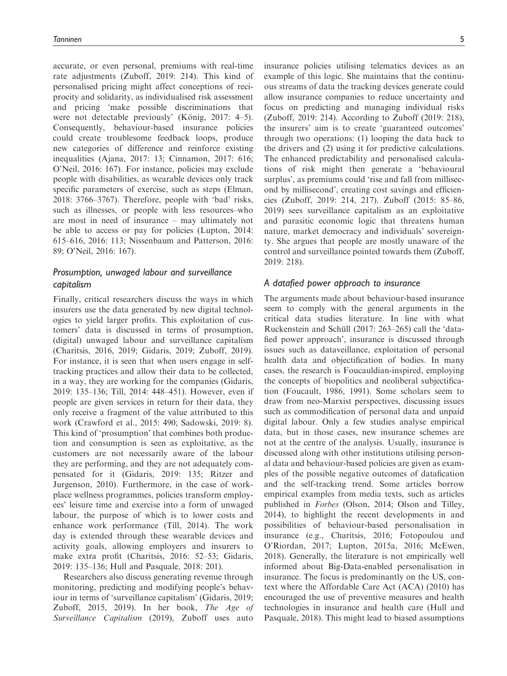accurate, or even personal, premiums with real-time rate adjustments (Zuboff, 2019: 214). This kind of personalised pricing might affect conceptions of reciprocity and solidarity, as individualised risk assessment and pricing 'make possible discriminations that were not detectable previously' (König, 2017:  $4-5$ ). Consequently, behaviour-based insurance policies could create troublesome feedback loops, produce new categories of difference and reinforce existing inequalities (Ajana, 2017: 13; Cinnamon, 2017: 616; O'Neil, 2016: 167). For instance, policies may exclude people with disabilities, as wearable devices only track specific parameters of exercise, such as steps (Elman, 2018: 3766–3767). Therefore, people with 'bad' risks, such as illnesses, or people with less resources–who are most in need of insurance – may ultimately not be able to access or pay for policies (Lupton, 2014: 615–616, 2016: 113; Nissenbaum and Patterson, 2016: 89; O'Neil, 2016: 167).

# Prosumption, unwaged labour and surveillance capitalism

Finally, critical researchers discuss the ways in which insurers use the data generated by new digital technologies to yield larger profits. This exploitation of customers' data is discussed in terms of prosumption, (digital) unwaged labour and surveillance capitalism (Charitsis, 2016, 2019; Gidaris, 2019; Zuboff, 2019). For instance, it is seen that when users engage in selftracking practices and allow their data to be collected, in a way, they are working for the companies (Gidaris, 2019: 135–136; Till, 2014: 448–451). However, even if people are given services in return for their data, they only receive a fragment of the value attributed to this work (Crawford et al., 2015: 490; Sadowski, 2019: 8). This kind of 'prosumption' that combines both production and consumption is seen as exploitative, as the customers are not necessarily aware of the labour they are performing, and they are not adequately compensated for it (Gidaris, 2019: 135; Ritzer and Jurgenson, 2010). Furthermore, in the case of workplace wellness programmes, policies transform employees' leisure time and exercise into a form of unwaged labour, the purpose of which is to lower costs and enhance work performance (Till, 2014). The work day is extended through these wearable devices and activity goals, allowing employers and insurers to make extra profit (Charitsis, 2016: 52–53; Gidaris, 2019: 135–136; Hull and Pasquale, 2018: 201).

Researchers also discuss generating revenue through monitoring, predicting and modifying people's behaviour in terms of 'surveillance capitalism' (Gidaris, 2019; Zuboff, 2015, 2019). In her book, The Age of Surveillance Capitalism (2019), Zuboff uses auto insurance policies utilising telematics devices as an example of this logic. She maintains that the continuous streams of data the tracking devices generate could allow insurance companies to reduce uncertainty and focus on predicting and managing individual risks (Zuboff, 2019: 214). According to Zuboff (2019: 218), the insurers' aim is to create 'guaranteed outcomes' through two operations: (1) looping the data back to the drivers and (2) using it for predictive calculations. The enhanced predictability and personalised calculations of risk might then generate a 'behavioural surplus', as premiums could 'rise and fall from millisecond by millisecond', creating cost savings and efficiencies (Zuboff, 2019: 214, 217). Zuboff (2015: 85–86, 2019) sees surveillance capitalism as an exploitative and parasitic economic logic that threatens human nature, market democracy and individuals' sovereignty. She argues that people are mostly unaware of the control and surveillance pointed towards them (Zuboff, 2019: 218).

## A datafied power approach to insurance

The arguments made about behaviour-based insurance seem to comply with the general arguments in the critical data studies literature. In line with what Ruckenstein and Schüll (2017: 263–265) call the 'datafied power approach', insurance is discussed through issues such as dataveillance, exploitation of personal health data and objectification of bodies. In many cases, the research is Foucauldian-inspired, employing the concepts of biopolitics and neoliberal subjectification (Foucault, 1986, 1991). Some scholars seem to draw from neo-Marxist perspectives, discussing issues such as commodification of personal data and unpaid digital labour. Only a few studies analyse empirical data, but in those cases, new insurance schemes are not at the centre of the analysis. Usually, insurance is discussed along with other institutions utilising personal data and behaviour-based policies are given as examples of the possible negative outcomes of datafication and the self-tracking trend. Some articles borrow empirical examples from media texts, such as articles published in Forbes (Olson, 2014; Olson and Tilley, 2014), to highlight the recent developments in and possibilities of behaviour-based personalisation in insurance (e.g., Charitsis, 2016; Fotopoulou and O'Riordan, 2017; Lupton, 2015a, 2016; McEwen, 2018). Generally, the literature is not empirically well informed about Big-Data-enabled personalisation in insurance. The focus is predominantly on the US, context where the Affordable Care Act (ACA) (2010) has encouraged the use of preventive measures and health technologies in insurance and health care (Hull and Pasquale, 2018). This might lead to biased assumptions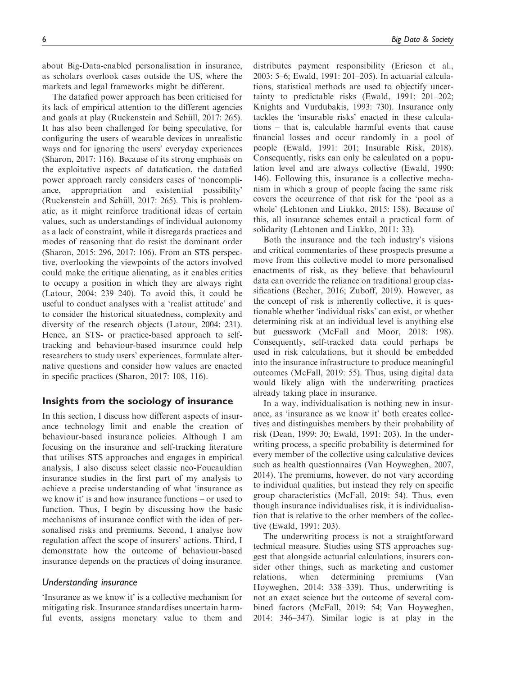about Big-Data-enabled personalisation in insurance, as scholars overlook cases outside the US, where the markets and legal frameworks might be different.

The datafied power approach has been criticised for its lack of empirical attention to the different agencies and goals at play (Ruckenstein and Schüll, 2017: 265). It has also been challenged for being speculative, for configuring the users of wearable devices in unrealistic ways and for ignoring the users' everyday experiences (Sharon, 2017: 116). Because of its strong emphasis on the exploitative aspects of datafication, the datafied power approach rarely considers cases of 'noncompliance, appropriation and existential possibility' (Ruckenstein and Schüll, 2017: 265). This is problematic, as it might reinforce traditional ideas of certain values, such as understandings of individual autonomy as a lack of constraint, while it disregards practices and modes of reasoning that do resist the dominant order (Sharon, 2015: 296, 2017: 106). From an STS perspective, overlooking the viewpoints of the actors involved could make the critique alienating, as it enables critics to occupy a position in which they are always right (Latour, 2004: 239–240). To avoid this, it could be useful to conduct analyses with a 'realist attitude' and to consider the historical situatedness, complexity and diversity of the research objects (Latour, 2004: 231). Hence, an STS- or practice-based approach to selftracking and behaviour-based insurance could help researchers to study users' experiences, formulate alternative questions and consider how values are enacted in specific practices (Sharon, 2017: 108, 116).

# Insights from the sociology of insurance

In this section, I discuss how different aspects of insurance technology limit and enable the creation of behaviour-based insurance policies. Although I am focusing on the insurance and self-tracking literature that utilises STS approaches and engages in empirical analysis, I also discuss select classic neo-Foucauldian insurance studies in the first part of my analysis to achieve a precise understanding of what 'insurance as we know it' is and how insurance functions – or used to function. Thus, I begin by discussing how the basic mechanisms of insurance conflict with the idea of personalised risks and premiums. Second, I analyse how regulation affect the scope of insurers' actions. Third, I demonstrate how the outcome of behaviour-based insurance depends on the practices of doing insurance.

#### Understanding insurance

'Insurance as we know it' is a collective mechanism for mitigating risk. Insurance standardises uncertain harmful events, assigns monetary value to them and distributes payment responsibility (Ericson et al., 2003: 5–6; Ewald, 1991: 201–205). In actuarial calculations, statistical methods are used to objectify uncertainty to predictable risks (Ewald, 1991: 201–202; Knights and Vurdubakis, 1993: 730). Insurance only tackles the 'insurable risks' enacted in these calculations – that is, calculable harmful events that cause financial losses and occur randomly in a pool of people (Ewald, 1991: 201; Insurable Risk, 2018). Consequently, risks can only be calculated on a population level and are always collective (Ewald, 1990: 146). Following this, insurance is a collective mechanism in which a group of people facing the same risk covers the occurrence of that risk for the 'pool as a whole' (Lehtonen and Liukko, 2015: 158). Because of this, all insurance schemes entail a practical form of solidarity (Lehtonen and Liukko, 2011: 33).

Both the insurance and the tech industry's visions and critical commentaries of these prospects presume a move from this collective model to more personalised enactments of risk, as they believe that behavioural data can override the reliance on traditional group classifications (Becher, 2016; Zuboff, 2019). However, as the concept of risk is inherently collective, it is questionable whether 'individual risks' can exist, or whether determining risk at an individual level is anything else but guesswork (McFall and Moor, 2018: 198). Consequently, self-tracked data could perhaps be used in risk calculations, but it should be embedded into the insurance infrastructure to produce meaningful outcomes (McFall, 2019: 55). Thus, using digital data would likely align with the underwriting practices already taking place in insurance.

In a way, individualisation is nothing new in insurance, as 'insurance as we know it' both creates collectives and distinguishes members by their probability of risk (Dean, 1999: 30; Ewald, 1991: 203). In the underwriting process, a specific probability is determined for every member of the collective using calculative devices such as health questionnaires (Van Hoyweghen, 2007, 2014). The premiums, however, do not vary according to individual qualities, but instead they rely on specific group characteristics (McFall, 2019: 54). Thus, even though insurance individualises risk, it is individualisation that is relative to the other members of the collective (Ewald, 1991: 203).

The underwriting process is not a straightforward technical measure. Studies using STS approaches suggest that alongside actuarial calculations, insurers consider other things, such as marketing and customer relations, when determining premiums (Van Hoyweghen, 2014: 338–339). Thus, underwriting is not an exact science but the outcome of several combined factors (McFall, 2019: 54; Van Hoyweghen, 2014: 346–347). Similar logic is at play in the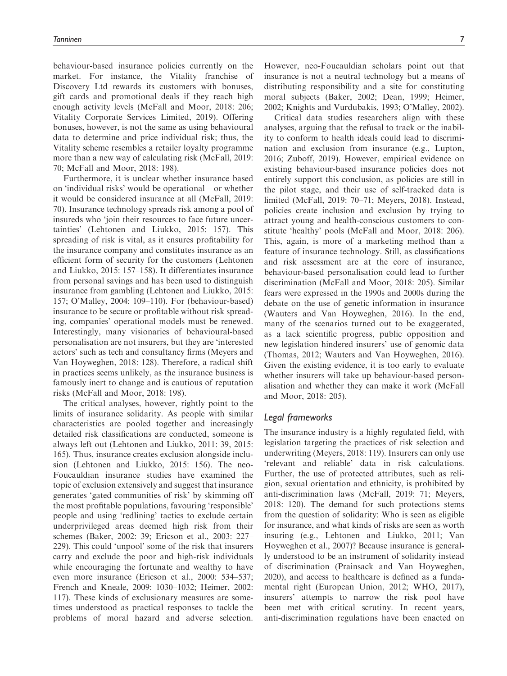behaviour-based insurance policies currently on the market. For instance, the Vitality franchise of Discovery Ltd rewards its customers with bonuses, gift cards and promotional deals if they reach high enough activity levels (McFall and Moor, 2018: 206; Vitality Corporate Services Limited, 2019). Offering bonuses, however, is not the same as using behavioural data to determine and price individual risk; thus, the Vitality scheme resembles a retailer loyalty programme more than a new way of calculating risk (McFall, 2019: 70; McFall and Moor, 2018: 198).

Furthermore, it is unclear whether insurance based on 'individual risks' would be operational – or whether it would be considered insurance at all (McFall, 2019: 70). Insurance technology spreads risk among a pool of insureds who 'join their resources to face future uncertainties' (Lehtonen and Liukko, 2015: 157). This spreading of risk is vital, as it ensures profitability for the insurance company and constitutes insurance as an efficient form of security for the customers (Lehtonen and Liukko, 2015: 157–158). It differentiates insurance from personal savings and has been used to distinguish insurance from gambling (Lehtonen and Liukko, 2015: 157; O'Malley, 2004: 109–110). For (behaviour-based) insurance to be secure or profitable without risk spreading, companies' operational models must be renewed. Interestingly, many visionaries of behavioural-based personalisation are not insurers, but they are 'interested actors' such as tech and consultancy firms (Meyers and Van Hoyweghen, 2018: 128). Therefore, a radical shift in practices seems unlikely, as the insurance business is famously inert to change and is cautious of reputation risks (McFall and Moor, 2018: 198).

The critical analyses, however, rightly point to the limits of insurance solidarity. As people with similar characteristics are pooled together and increasingly detailed risk classifications are conducted, someone is always left out (Lehtonen and Liukko, 2011: 39, 2015: 165). Thus, insurance creates exclusion alongside inclusion (Lehtonen and Liukko, 2015: 156). The neo-Foucauldian insurance studies have examined the topic of exclusion extensively and suggest that insurance generates 'gated communities of risk' by skimming off the most profitable populations, favouring 'responsible' people and using 'redlining' tactics to exclude certain underprivileged areas deemed high risk from their schemes (Baker, 2002: 39; Ericson et al., 2003: 227– 229). This could 'unpool' some of the risk that insurers carry and exclude the poor and high-risk individuals while encouraging the fortunate and wealthy to have even more insurance (Ericson et al., 2000: 534–537; French and Kneale, 2009: 1030–1032; Heimer, 2002: 117). These kinds of exclusionary measures are sometimes understood as practical responses to tackle the problems of moral hazard and adverse selection.

However, neo-Foucauldian scholars point out that insurance is not a neutral technology but a means of distributing responsibility and a site for constituting moral subjects (Baker, 2002; Dean, 1999; Heimer, 2002; Knights and Vurdubakis, 1993; O'Malley, 2002).

Critical data studies researchers align with these analyses, arguing that the refusal to track or the inability to conform to health ideals could lead to discrimination and exclusion from insurance (e.g., Lupton, 2016; Zuboff, 2019). However, empirical evidence on existing behaviour-based insurance policies does not entirely support this conclusion, as policies are still in the pilot stage, and their use of self-tracked data is limited (McFall, 2019: 70–71; Meyers, 2018). Instead, policies create inclusion and exclusion by trying to attract young and health-conscious customers to constitute 'healthy' pools (McFall and Moor, 2018: 206). This, again, is more of a marketing method than a feature of insurance technology. Still, as classifications and risk assessment are at the core of insurance, behaviour-based personalisation could lead to further discrimination (McFall and Moor, 2018: 205). Similar fears were expressed in the 1990s and 2000s during the debate on the use of genetic information in insurance (Wauters and Van Hoyweghen, 2016). In the end, many of the scenarios turned out to be exaggerated, as a lack scientific progress, public opposition and new legislation hindered insurers' use of genomic data (Thomas, 2012; Wauters and Van Hoyweghen, 2016). Given the existing evidence, it is too early to evaluate whether insurers will take up behaviour-based personalisation and whether they can make it work (McFall and Moor, 2018: 205).

# Legal frameworks

The insurance industry is a highly regulated field, with legislation targeting the practices of risk selection and underwriting (Meyers, 2018: 119). Insurers can only use 'relevant and reliable' data in risk calculations. Further, the use of protected attributes, such as religion, sexual orientation and ethnicity, is prohibited by anti-discrimination laws (McFall, 2019: 71; Meyers, 2018: 120). The demand for such protections stems from the question of solidarity: Who is seen as eligible for insurance, and what kinds of risks are seen as worth insuring (e.g., Lehtonen and Liukko, 2011; Van Hoyweghen et al., 2007)? Because insurance is generally understood to be an instrument of solidarity instead of discrimination (Prainsack and Van Hoyweghen, 2020), and access to healthcare is defined as a fundamental right (European Union, 2012; WHO, 2017), insurers' attempts to narrow the risk pool have been met with critical scrutiny. In recent years, anti-discrimination regulations have been enacted on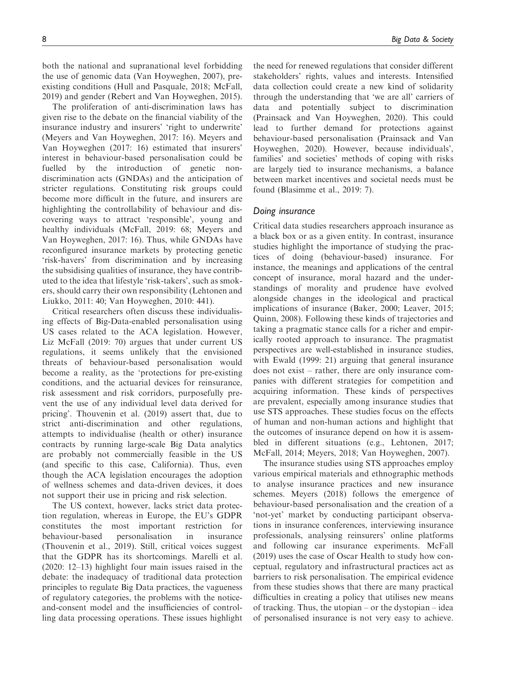both the national and supranational level forbidding the use of genomic data (Van Hoyweghen, 2007), preexisting conditions (Hull and Pasquale, 2018; McFall, 2019) and gender (Rebert and Van Hoyweghen, 2015).

The proliferation of anti-discrimination laws has given rise to the debate on the financial viability of the insurance industry and insurers' 'right to underwrite' (Meyers and Van Hoyweghen, 2017: 16). Meyers and Van Hoyweghen (2017: 16) estimated that insurers' interest in behaviour-based personalisation could be fuelled by the introduction of genetic nondiscrimination acts (GNDAs) and the anticipation of stricter regulations. Constituting risk groups could become more difficult in the future, and insurers are highlighting the controllability of behaviour and discovering ways to attract 'responsible', young and healthy individuals (McFall, 2019: 68; Meyers and Van Hoyweghen, 2017: 16). Thus, while GNDAs have reconfigured insurance markets by protecting genetic 'risk-havers' from discrimination and by increasing the subsidising qualities of insurance, they have contributed to the idea that lifestyle 'risk-takers', such as smokers, should carry their own responsibility (Lehtonen and Liukko, 2011: 40; Van Hoyweghen, 2010: 441).

Critical researchers often discuss these individualising effects of Big-Data-enabled personalisation using US cases related to the ACA legislation. However, Liz McFall (2019: 70) argues that under current US regulations, it seems unlikely that the envisioned threats of behaviour-based personalisation would become a reality, as the 'protections for pre-existing conditions, and the actuarial devices for reinsurance, risk assessment and risk corridors, purposefully prevent the use of any individual level data derived for pricing'. Thouvenin et al. (2019) assert that, due to strict anti-discrimination and other regulations, attempts to individualise (health or other) insurance contracts by running large-scale Big Data analytics are probably not commercially feasible in the US (and specific to this case, California). Thus, even though the ACA legislation encourages the adoption of wellness schemes and data-driven devices, it does not support their use in pricing and risk selection.

The US context, however, lacks strict data protection regulation, whereas in Europe, the EU's GDPR constitutes the most important restriction for behaviour-based personalisation in insurance (Thouvenin et al., 2019). Still, critical voices suggest that the GDPR has its shortcomings. Marelli et al. (2020: 12–13) highlight four main issues raised in the debate: the inadequacy of traditional data protection principles to regulate Big Data practices, the vagueness of regulatory categories, the problems with the noticeand-consent model and the insufficiencies of controlling data processing operations. These issues highlight the need for renewed regulations that consider different stakeholders' rights, values and interests. Intensified data collection could create a new kind of solidarity through the understanding that 'we are all' carriers of data and potentially subject to discrimination (Prainsack and Van Hoyweghen, 2020). This could lead to further demand for protections against behaviour-based personalisation (Prainsack and Van Hoyweghen, 2020). However, because individuals', families' and societies' methods of coping with risks are largely tied to insurance mechanisms, a balance between market incentives and societal needs must be found (Blasimme et al., 2019: 7).

### Doing insurance

Critical data studies researchers approach insurance as a black box or as a given entity. In contrast, insurance studies highlight the importance of studying the practices of doing (behaviour-based) insurance. For instance, the meanings and applications of the central concept of insurance, moral hazard and the understandings of morality and prudence have evolved alongside changes in the ideological and practical implications of insurance (Baker, 2000; Leaver, 2015; Quinn, 2008). Following these kinds of trajectories and taking a pragmatic stance calls for a richer and empirically rooted approach to insurance. The pragmatist perspectives are well-established in insurance studies, with Ewald (1999: 21) arguing that general insurance does not exist – rather, there are only insurance companies with different strategies for competition and acquiring information. These kinds of perspectives are prevalent, especially among insurance studies that use STS approaches. These studies focus on the effects of human and non-human actions and highlight that the outcomes of insurance depend on how it is assembled in different situations (e.g., Lehtonen, 2017; McFall, 2014; Meyers, 2018; Van Hoyweghen, 2007).

The insurance studies using STS approaches employ various empirical materials and ethnographic methods to analyse insurance practices and new insurance schemes. Meyers (2018) follows the emergence of behaviour-based personalisation and the creation of a 'not-yet' market by conducting participant observations in insurance conferences, interviewing insurance professionals, analysing reinsurers' online platforms and following car insurance experiments. McFall (2019) uses the case of Oscar Health to study how conceptual, regulatory and infrastructural practices act as barriers to risk personalisation. The empirical evidence from these studies shows that there are many practical difficulties in creating a policy that utilises new means of tracking. Thus, the utopian – or the dystopian – idea of personalised insurance is not very easy to achieve.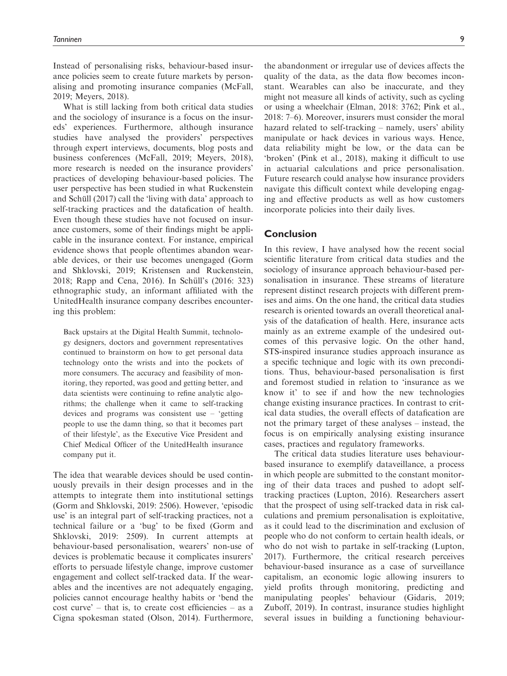Instead of personalising risks, behaviour-based insurance policies seem to create future markets by personalising and promoting insurance companies (McFall, 2019; Meyers, 2018).

What is still lacking from both critical data studies and the sociology of insurance is a focus on the insureds' experiences. Furthermore, although insurance studies have analysed the providers' perspectives through expert interviews, documents, blog posts and business conferences (McFall, 2019; Meyers, 2018), more research is needed on the insurance providers' practices of developing behaviour-based policies. The user perspective has been studied in what Ruckenstein and Schüll (2017) call the 'living with data' approach to self-tracking practices and the datafication of health. Even though these studies have not focused on insurance customers, some of their findings might be applicable in the insurance context. For instance, empirical evidence shows that people oftentimes abandon wearable devices, or their use becomes unengaged (Gorm and Shklovski, 2019; Kristensen and Ruckenstein, 2018; Rapp and Cena, 2016). In Schüll's (2016: 323) ethnographic study, an informant affiliated with the UnitedHealth insurance company describes encountering this problem:

Back upstairs at the Digital Health Summit, technology designers, doctors and government representatives continued to brainstorm on how to get personal data technology onto the wrists and into the pockets of more consumers. The accuracy and feasibility of monitoring, they reported, was good and getting better, and data scientists were continuing to refine analytic algorithms; the challenge when it came to self-tracking devices and programs was consistent use – 'getting people to use the damn thing, so that it becomes part of their lifestyle', as the Executive Vice President and Chief Medical Officer of the UnitedHealth insurance company put it.

The idea that wearable devices should be used continuously prevails in their design processes and in the attempts to integrate them into institutional settings (Gorm and Shklovski, 2019: 2506). However, 'episodic use' is an integral part of self-tracking practices, not a technical failure or a 'bug' to be fixed (Gorm and Shklovski, 2019: 2509). In current attempts at behaviour-based personalisation, wearers' non-use of devices is problematic because it complicates insurers' efforts to persuade lifestyle change, improve customer engagement and collect self-tracked data. If the wearables and the incentives are not adequately engaging, policies cannot encourage healthy habits or 'bend the  $cost curve' - that is, to create cost efficiencies - as a$ Cigna spokesman stated (Olson, 2014). Furthermore, the abandonment or irregular use of devices affects the quality of the data, as the data flow becomes inconstant. Wearables can also be inaccurate, and they might not measure all kinds of activity, such as cycling or using a wheelchair (Elman, 2018: 3762; Pink et al., 2018: 7–6). Moreover, insurers must consider the moral hazard related to self-tracking – namely, users' ability manipulate or hack devices in various ways. Hence, data reliability might be low, or the data can be 'broken' (Pink et al., 2018), making it difficult to use in actuarial calculations and price personalisation. Future research could analyse how insurance providers navigate this difficult context while developing engaging and effective products as well as how customers incorporate policies into their daily lives.

# Conclusion

In this review, I have analysed how the recent social scientific literature from critical data studies and the sociology of insurance approach behaviour-based personalisation in insurance. These streams of literature represent distinct research projects with different premises and aims. On the one hand, the critical data studies research is oriented towards an overall theoretical analysis of the datafication of health. Here, insurance acts mainly as an extreme example of the undesired outcomes of this pervasive logic. On the other hand, STS-inspired insurance studies approach insurance as a specific technique and logic with its own preconditions. Thus, behaviour-based personalisation is first and foremost studied in relation to 'insurance as we know it' to see if and how the new technologies change existing insurance practices. In contrast to critical data studies, the overall effects of datafication are not the primary target of these analyses – instead, the focus is on empirically analysing existing insurance cases, practices and regulatory frameworks.

The critical data studies literature uses behaviourbased insurance to exemplify dataveillance, a process in which people are submitted to the constant monitoring of their data traces and pushed to adopt selftracking practices (Lupton, 2016). Researchers assert that the prospect of using self-tracked data in risk calculations and premium personalisation is exploitative, as it could lead to the discrimination and exclusion of people who do not conform to certain health ideals, or who do not wish to partake in self-tracking (Lupton, 2017). Furthermore, the critical research perceives behaviour-based insurance as a case of surveillance capitalism, an economic logic allowing insurers to yield profits through monitoring, predicting and manipulating peoples' behaviour (Gidaris, 2019; Zuboff, 2019). In contrast, insurance studies highlight several issues in building a functioning behaviour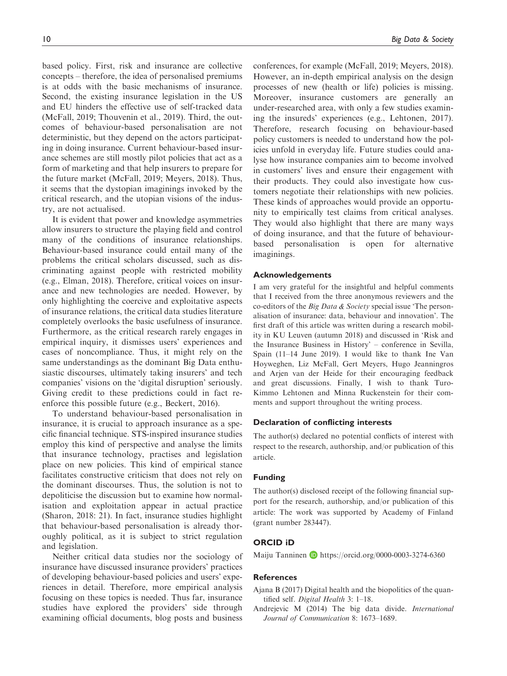based policy. First, risk and insurance are collective concepts – therefore, the idea of personalised premiums is at odds with the basic mechanisms of insurance. Second, the existing insurance legislation in the US and EU hinders the effective use of self-tracked data (McFall, 2019; Thouvenin et al., 2019). Third, the outcomes of behaviour-based personalisation are not deterministic, but they depend on the actors participating in doing insurance. Current behaviour-based insurance schemes are still mostly pilot policies that act as a form of marketing and that help insurers to prepare for the future market (McFall, 2019; Meyers, 2018). Thus,

try, are not actualised. It is evident that power and knowledge asymmetries allow insurers to structure the playing field and control many of the conditions of insurance relationships. Behaviour-based insurance could entail many of the problems the critical scholars discussed, such as discriminating against people with restricted mobility (e.g., Elman, 2018). Therefore, critical voices on insurance and new technologies are needed. However, by only highlighting the coercive and exploitative aspects of insurance relations, the critical data studies literature completely overlooks the basic usefulness of insurance. Furthermore, as the critical research rarely engages in empirical inquiry, it dismisses users' experiences and cases of noncompliance. Thus, it might rely on the same understandings as the dominant Big Data enthusiastic discourses, ultimately taking insurers' and tech companies' visions on the 'digital disruption' seriously. Giving credit to these predictions could in fact reenforce this possible future (e.g., Beckert, 2016).

it seems that the dystopian imaginings invoked by the critical research, and the utopian visions of the indus-

To understand behaviour-based personalisation in insurance, it is crucial to approach insurance as a specific financial technique. STS-inspired insurance studies employ this kind of perspective and analyse the limits that insurance technology, practises and legislation place on new policies. This kind of empirical stance facilitates constructive criticism that does not rely on the dominant discourses. Thus, the solution is not to depoliticise the discussion but to examine how normalisation and exploitation appear in actual practice (Sharon, 2018: 21). In fact, insurance studies highlight that behaviour-based personalisation is already thoroughly political, as it is subject to strict regulation and legislation.

Neither critical data studies nor the sociology of insurance have discussed insurance providers' practices of developing behaviour-based policies and users' experiences in detail. Therefore, more empirical analysis focusing on these topics is needed. Thus far, insurance studies have explored the providers' side through examining official documents, blog posts and business conferences, for example (McFall, 2019; Meyers, 2018). However, an in-depth empirical analysis on the design processes of new (health or life) policies is missing. Moreover, insurance customers are generally an under-researched area, with only a few studies examining the insureds' experiences (e.g., Lehtonen, 2017). Therefore, research focusing on behaviour-based policy customers is needed to understand how the policies unfold in everyday life. Future studies could analyse how insurance companies aim to become involved in customers' lives and ensure their engagement with their products. They could also investigate how customers negotiate their relationships with new policies. These kinds of approaches would provide an opportunity to empirically test claims from critical analyses. They would also highlight that there are many ways of doing insurance, and that the future of behaviourbased personalisation is open for alternative imaginings.

#### Acknowledgements

I am very grateful for the insightful and helpful comments that I received from the three anonymous reviewers and the co-editors of the Big Data & Society special issue 'The personalisation of insurance: data, behaviour and innovation'. The first draft of this article was written during a research mobility in KU Leuven (autumn 2018) and discussed in 'Risk and the Insurance Business in History' – conference in Sevilla, Spain (11–14 June 2019). I would like to thank Ine Van Hoyweghen, Liz McFall, Gert Meyers, Hugo Jeanningros and Arjen van der Heide for their encouraging feedback and great discussions. Finally, I wish to thank Turo-Kimmo Lehtonen and Minna Ruckenstein for their comments and support throughout the writing process.

#### Declaration of conflicting interests

The author(s) declared no potential conflicts of interest with respect to the research, authorship, and/or publication of this article.

#### Funding

The author(s) disclosed receipt of the following financial support for the research, authorship, and/or publication of this article: The work was supported by Academy of Finland (grant number 283447).

## ORCID iD

Maiju Tanninen **b** <https://orcid.org/0000-0003-3274-6360>

#### References

- Ajana B (2017) Digital health and the biopolitics of the quantified self. Digital Health 3: 1–18.
- Andrejevic M (2014) The big data divide. International Journal of Communication 8: 1673–1689.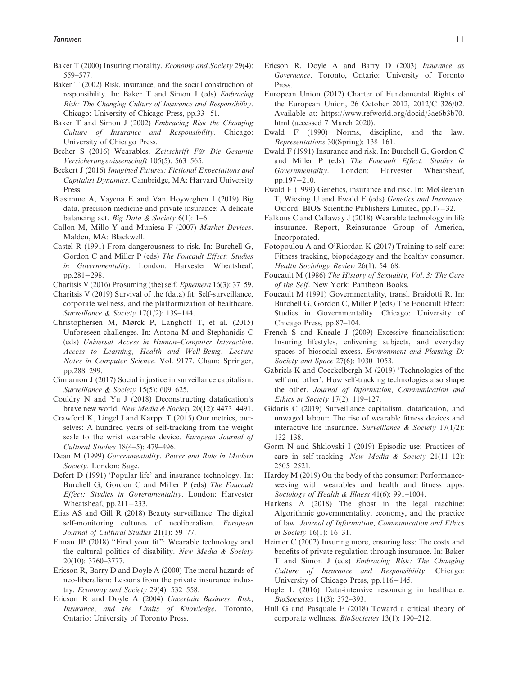- Baker T (2000) Insuring morality. *Economy and Society* 29(4): 559–577.
- Baker T (2002) Risk, insurance, and the social construction of responsibility. In: Baker T and Simon J (eds) Embracing Risk: The Changing Culture of Insurance and Responsibility. Chicago: University of Chicago Press, pp.33-51.
- Baker T and Simon J (2002) Embracing Risk the Changing Culture of Insurance and Responsibility. Chicago: University of Chicago Press.
- Becher S (2016) Wearables. Zeitschrift Für Die Gesamte Versicherungswissenschaft 105(5): 563–565.
- Beckert J (2016) Imagined Futures: Fictional Expectations and Capitalist Dynamics. Cambridge, MA: Harvard University Press.
- Blasimme A, Vayena E and Van Hoyweghen I (2019) Big data, precision medicine and private insurance: A delicate balancing act. Big Data & Society  $6(1)$ : 1–6.
- Callon M, Millo Y and Muniesa F (2007) Market Devices. Malden, MA: Blackwell.
- Castel R (1991) From dangerousness to risk. In: Burchell G, Gordon C and Miller P (eds) The Foucault Effect: Studies in Governmentality. London: Harvester Wheatsheaf, pp.281 $-298$ .
- Charitsis V (2016) Prosuming (the) self. Ephemera 16(3): 37–59.
- Charitsis V (2019) Survival of the (data) fit: Self-surveillance, corporate wellness, and the platformization of healthcare. Surveillance & Society 17(1/2): 139–144.
- Christophersen M, Mørck P, Langhoff T, et al. (2015) Unforeseen challenges. In: Antona M and Stephanidis C (eds) Universal Access in Human–Computer Interaction. Access to Learning, Health and Well-Being. Lecture Notes in Computer Science. Vol. 9177. Cham: Springer, pp.288–299.
- Cinnamon J (2017) Social injustice in surveillance capitalism. Surveillance & Society 15(5): 609–625.
- Couldry N and Yu J (2018) Deconstructing datafication's brave new world. New Media & Society 20(12): 4473–4491.
- Crawford K, Lingel J and Karppi T (2015) Our metrics, ourselves: A hundred years of self-tracking from the weight scale to the wrist wearable device. European Journal of Cultural Studies 18(4–5): 479–496.
- Dean M (1999) Governmentality. Power and Rule in Modern Society. London: Sage.
- Defert D (1991) 'Popular life' and insurance technology. In: Burchell G, Gordon C and Miller P (eds) The Foucault Effect: Studies in Governmentality. London: Harvester Wheatsheaf,  $pp.211-233$ .
- Elias AS and Gill R (2018) Beauty surveillance: The digital self-monitoring cultures of neoliberalism. European Journal of Cultural Studies 21(1): 59–77.
- Elman JP (2018) "Find your fit": Wearable technology and the cultural politics of disability. New Media & Society 20(10): 3760–3777.
- Ericson R, Barry D and Doyle A (2000) The moral hazards of neo-liberalism: Lessons from the private insurance industry. Economy and Society 29(4): 532–558.
- Ericson R and Doyle A (2004) Uncertain Business: Risk, Insurance, and the Limits of Knowledge. Toronto, Ontario: University of Toronto Press.
- Ericson R, Doyle A and Barry D (2003) Insurance as Governance. Toronto, Ontario: University of Toronto Press.
- European Union (2012) Charter of Fundamental Rights of the European Union, 26 October 2012, 2012/C 326/02. Available at: [https://www.refworld.org/docid/3ae6b3b70.](https://www.refworld.org/docid/3ae6b3b70.html) [html](https://www.refworld.org/docid/3ae6b3b70.html) (accessed 7 March 2020).
- Ewald F (1990) Norms, discipline, and the law. Representations 30(Spring): 138–161.
- Ewald F (1991) Insurance and risk. In: Burchell G, Gordon C and Miller P (eds) The Foucault Effect: Studies in Governmentality. London: Harvester Wheatsheaf, pp.197 $-210$ .
- Ewald F (1999) Genetics, insurance and risk. In: McGleenan T, Wiesing U and Ewald F (eds) Genetics and Insurance. Oxford: BIOS Scientific Publishers Limited,  $pp.17-32$ .
- Falkous C and Callaway J (2018) Wearable technology in life insurance. Report, Reinsurance Group of America, Incorporated.
- Fotopoulou A and O'Riordan K (2017) Training to self-care: Fitness tracking, biopedagogy and the healthy consumer. Health Sociology Review 26(1): 54–68.
- Foucault M (1986) The History of Sexuality, Vol. 3: The Care of the Self. New York: Pantheon Books.
- Foucault M (1991) Governmentality, transl. Braidotti R. In: Burchell G, Gordon C, Miller P (eds) The Foucault Effect: Studies in Governmentality. Chicago: University of Chicago Press, pp.87–104.
- French S and Kneale J (2009) Excessive financialisation: Insuring lifestyles, enlivening subjects, and everyday spaces of biosocial excess. Environment and Planning D: Society and Space 27(6): 1030–1053.
- Gabriels K and Coeckelbergh M (2019) 'Technologies of the self and other': How self-tracking technologies also shape the other. Journal of Information, Communication and Ethics in Society 17(2): 119–127.
- Gidaris C (2019) Surveillance capitalism, datafication, and unwaged labour: The rise of wearable fitness devices and interactive life insurance. Surveillance & Society 17(1/2): 132–138.
- Gorm N and Shklovski I (2019) Episodic use: Practices of care in self-tracking. New Media & Society 21(11–12): 2505–2521.
- Hardey M (2019) On the body of the consumer: Performanceseeking with wearables and health and fitness apps. Sociology of Health & Illness 41(6): 991-1004.
- Harkens A (2018) The ghost in the legal machine: Algorithmic governmentality, economy, and the practice of law. Journal of Information, Communication and Ethics in Society 16(1): 16–31.
- Heimer C (2002) Insuring more, ensuring less: The costs and benefits of private regulation through insurance. In: Baker T and Simon J (eds) Embracing Risk: The Changing Culture of Insurance and Responsibility. Chicago: University of Chicago Press, pp.116-145.
- Hogle L (2016) Data-intensive resourcing in healthcare. BioSocieties 11(3): 372–393.
- Hull G and Pasquale F (2018) Toward a critical theory of corporate wellness. BioSocieties 13(1): 190–212.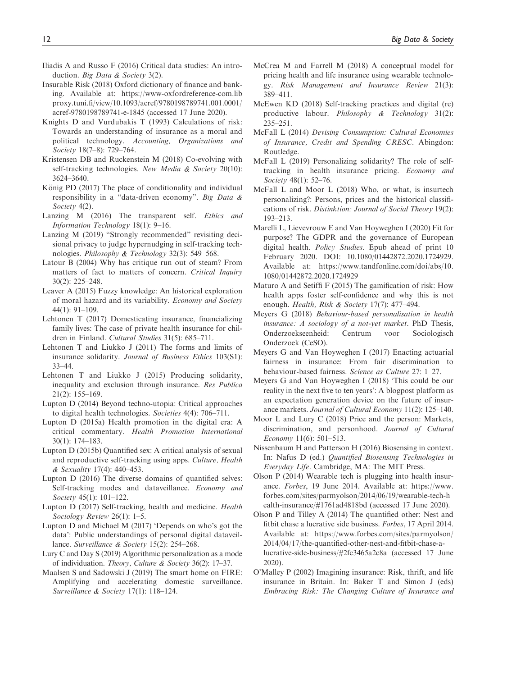- Iliadis A and Russo F (2016) Critical data studies: An introduction. Big Data & Society 3(2).
- Insurable Risk (2018) Oxford dictionary of finance and banking. Available at: [https://www-oxfordreference-com.lib](https://www-oxfordreference-com.libproxy.tuni.fi/view/10.1093/acref/9780198789741.001.0001/acref-9780198789741-e-1845) [proxy.tuni.fi/view/10.1093/acref/9780198789741.001.0001/](https://www-oxfordreference-com.libproxy.tuni.fi/view/10.1093/acref/9780198789741.001.0001/acref-9780198789741-e-1845) [acref-9780198789741-e-1845](https://www-oxfordreference-com.libproxy.tuni.fi/view/10.1093/acref/9780198789741.001.0001/acref-9780198789741-e-1845) (accessed 17 June 2020).
- Knights D and Vurdubakis T (1993) Calculations of risk: Towards an understanding of insurance as a moral and political technology. Accounting, Organizations and Society 18(7–8): 729–764.
- Kristensen DB and Ruckenstein M (2018) Co-evolving with self-tracking technologies. New Media & Society 20(10): 3624–3640.
- König PD  $(2017)$  The place of conditionality and individual responsibility in a "data-driven economy". Big Data & Society 4(2).
- Lanzing M (2016) The transparent self. Ethics and Information Technology 18(1): 9–16.
- Lanzing M (2019) "Strongly recommended" revisiting decisional privacy to judge hypernudging in self-tracking technologies. Philosophy & Technology 32(3): 549–568.
- Latour B (2004) Why has critique run out of steam? From matters of fact to matters of concern. Critical Inquiry 30(2): 225–248.
- Leaver A (2015) Fuzzy knowledge: An historical exploration of moral hazard and its variability. Economy and Society 44(1): 91–109.
- Lehtonen T (2017) Domesticating insurance, financializing family lives: The case of private health insurance for children in Finland. Cultural Studies 31(5): 685–711.
- Lehtonen T and Liukko J (2011) The forms and limits of insurance solidarity. Journal of Business Ethics 103(S1): 33–44.
- Lehtonen T and Liukko J (2015) Producing solidarity, inequality and exclusion through insurance. Res Publica 21(2): 155–169.
- Lupton D (2014) Beyond techno-utopia: Critical approaches to digital health technologies. Societies 4(4): 706–711.
- Lupton D (2015a) Health promotion in the digital era: A critical commentary. Health Promotion International 30(1): 174–183.
- Lupton D (2015b) Quantified sex: A critical analysis of sexual and reproductive self-tracking using apps. Culture, Health & Sexuality 17(4): 440–453.
- Lupton D (2016) The diverse domains of quantified selves: Self-tracking modes and dataveillance. Economy and Society 45(1): 101–122.
- Lupton D (2017) Self-tracking, health and medicine. Health Sociology Review 26(1): 1–5.
- Lupton D and Michael M (2017) 'Depends on who's got the data': Public understandings of personal digital dataveillance. Surveillance & Society 15(2): 254–268.
- Lury C and Day S (2019) Algorithmic personalization as a mode of individuation. Theory, Culture & Society 36(2): 17–37.
- Maalsen S and Sadowski J (2019) The smart home on FIRE: Amplifying and accelerating domestic surveillance. Surveillance & Society 17(1): 118-124.
- McCrea M and Farrell M (2018) A conceptual model for pricing health and life insurance using wearable technology. Risk Management and Insurance Review 21(3): 389–411.
- McEwen KD (2018) Self-tracking practices and digital (re) productive labour. Philosophy & Technology 31(2): 235–251.
- McFall L (2014) Devising Consumption: Cultural Economies of Insurance, Credit and Spending CRESC. Abingdon: Routledge.
- McFall L (2019) Personalizing solidarity? The role of selftracking in health insurance pricing. Economy and Society 48(1): 52-76.
- McFall L and Moor L (2018) Who, or what, is insurtech personalizing?: Persons, prices and the historical classifications of risk. Distinktion: Journal of Social Theory 19(2): 193–213.
- Marelli L, Lievevrouw E and Van Hoyweghen I (2020) Fit for purpose? The GDPR and the governance of European digital health. Policy Studies. Epub ahead of print 10 February 2020. DOI: 10.1080/01442872.2020.1724929. Available at: [https://www.tandfonline.com/doi/abs/10.](https://www.tandfonline.com/doi/abs/10.1080/01442872.2020.1724929) [1080/01442872.2020.1724929](https://www.tandfonline.com/doi/abs/10.1080/01442872.2020.1724929)
- Maturo A and Setiffi F (2015) The gamification of risk: How health apps foster self-confidence and why this is not enough. Health, Risk & Society 17(7): 477–494.
- Meyers G (2018) Behaviour-based personalisation in health insurance: A sociology of a not-yet market. PhD Thesis, Onderzoekseenheid: Centrum voor Sociologisch Onderzoek (CeSO).
- Meyers G and Van Hoyweghen I (2017) Enacting actuarial fairness in insurance: From fair discrimination to behaviour-based fairness. Science as Culture 27: 1–27.
- Meyers G and Van Hoyweghen I (2018) 'This could be our reality in the next five to ten years': A blogpost platform as an expectation generation device on the future of insurance markets. Journal of Cultural Economy 11(2): 125–140.
- Moor L and Lury C (2018) Price and the person: Markets, discrimination, and personhood. Journal of Cultural Economy 11(6): 501–513.
- Nissenbaum H and Patterson H (2016) Biosensing in context. In: Nafus D (ed.) Quantified Biosensing Technologies in Everyday Life. Cambridge, MA: The MIT Press.
- Olson P (2014) Wearable tech is plugging into health insurance. Forbes, 19 June 2014. Available at: [https://www.](https://www.forbes.com/sites/parmyolson/2014/06/19/wearable-tech-health-insurance/#1761ad4818bd) [forbes.com/sites/parmyolson/2014/06/19/wearable-tech-h](https://www.forbes.com/sites/parmyolson/2014/06/19/wearable-tech-health-insurance/#1761ad4818bd) [ealth-insurance/#1761ad4818bd](https://www.forbes.com/sites/parmyolson/2014/06/19/wearable-tech-health-insurance/#1761ad4818bd) (accessed 17 June 2020).
- Olson P and Tilley A (2014) The quantified other: Nest and fitbit chase a lucrative side business. Forbes, 17 April 2014. Available at: [https://www.forbes.com/sites/parmyolson/](https://www.forbes.com/sites/parmyolson/2014/04/17/the-quantified-other-nest-and-fitbit-chase-a-lucrative-side-business/#2fc3465a2c8a) [2014/04/17/the-quantified-other-nest-and-fitbit-chase-a](https://www.forbes.com/sites/parmyolson/2014/04/17/the-quantified-other-nest-and-fitbit-chase-a-lucrative-side-business/#2fc3465a2c8a)[lucrative-side-business/#2fc3465a2c8a](https://www.forbes.com/sites/parmyolson/2014/04/17/the-quantified-other-nest-and-fitbit-chase-a-lucrative-side-business/#2fc3465a2c8a) (accessed 17 June 2020).
- O'Malley P (2002) Imagining insurance: Risk, thrift, and life insurance in Britain. In: Baker T and Simon J (eds) Embracing Risk: The Changing Culture of Insurance and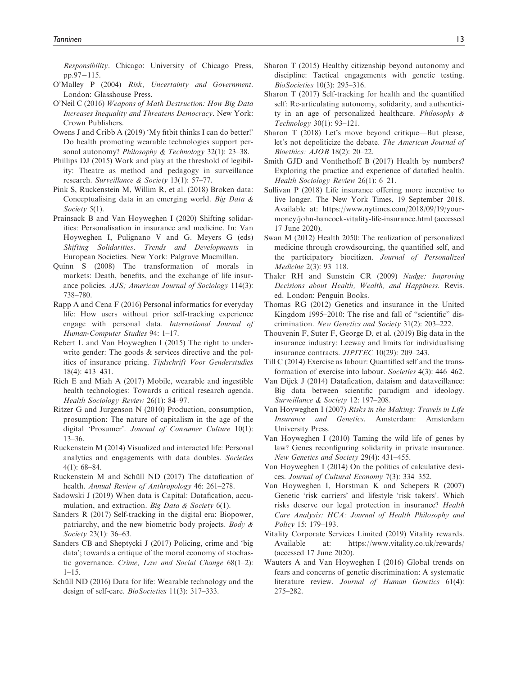Responsibility. Chicago: University of Chicago Press,  $pp.97-115.$ 

- O'Malley P (2004) Risk, Uncertainty and Government. London: Glasshouse Press.
- O'Neil C (2016) Weapons of Math Destruction: How Big Data Increases Inequality and Threatens Democracy. New York: Crown Publishers.
- Owens J and Cribb A (2019) 'My fitbit thinks I can do better!' Do health promoting wearable technologies support personal autonomy? Philosophy & Technology 32(1): 23–38.
- Phillips DJ (2015) Work and play at the threshold of legibility: Theatre as method and pedagogy in surveillance research. Surveillance & Society 13(1): 57–77.
- Pink S, Ruckenstein M, Willim R, et al. (2018) Broken data: Conceptualising data in an emerging world. Big Data & Society 5(1).
- Prainsack B and Van Hoyweghen I (2020) Shifting solidarities: Personalisation in insurance and medicine. In: Van Hoyweghen I, Pulignano V and G. Meyers G (eds) Shifting Solidarities. Trends and Developments in European Societies. New York: Palgrave Macmillan.
- Quinn S (2008) The transformation of morals in markets: Death, benefits, and the exchange of life insurance policies. AJS; American Journal of Sociology 114(3): 738–780.
- Rapp A and Cena F (2016) Personal informatics for everyday life: How users without prior self-tracking experience engage with personal data. International Journal of Human-Computer Studies 94: 1–17.
- Rebert L and Van Hoyweghen I (2015) The right to underwrite gender: The goods  $\&$  services directive and the politics of insurance pricing. Tijdschrift Voor Genderstudies 18(4): 413–431.
- Rich E and Miah A (2017) Mobile, wearable and ingestible health technologies: Towards a critical research agenda. Health Sociology Review 26(1): 84–97.
- Ritzer G and Jurgenson N (2010) Production, consumption, prosumption: The nature of capitalism in the age of the digital 'Prosumer'. Journal of Consumer Culture 10(1): 13–36.
- Ruckenstein M (2014) Visualized and interacted life: Personal analytics and engagements with data doubles. Societies 4(1): 68–84.
- Ruckenstein M and Schüll ND  $(2017)$  The datafication of health. Annual Review of Anthropology 46: 261–278.
- Sadowski J (2019) When data is Capital: Datafication, accumulation, and extraction. Big Data & Society 6(1).
- Sanders R (2017) Self-tracking in the digital era: Biopower, patriarchy, and the new biometric body projects. Body & Society 23(1): 36–63.
- Sanders CB and Sheptycki J (2017) Policing, crime and 'big data'; towards a critique of the moral economy of stochastic governance. Crime, Law and Social Change 68(1–2):  $1-15$ .
- Schüll ND (2016) Data for life: Wearable technology and the design of self-care. BioSocieties 11(3): 317–333.
- Sharon T (2015) Healthy citizenship beyond autonomy and discipline: Tactical engagements with genetic testing. BioSocieties 10(3): 295–316.
- Sharon T (2017) Self-tracking for health and the quantified self: Re-articulating autonomy, solidarity, and authenticity in an age of personalized healthcare. Philosophy & Technology 30(1): 93–121.
- Sharon T (2018) Let's move beyond critique—But please, let's not depoliticize the debate. The American Journal of Bioethics: AJOB 18(2): 20–22.
- Smith GJD and Vonthethoff B (2017) Health by numbers? Exploring the practice and experience of datafied health. Health Sociology Review 26(1): 6–21.
- Sullivan P (2018) Life insurance offering more incentive to live longer. The New York Times, 19 September 2018. Available at: [https://www.nytimes.com/2018/09/19/your](https://www.nytimes.com/2018/09/19/your-money/john-hancock-vitality-life-insurance.html)[money/john-hancock-vitality-life-insurance.html](https://www.nytimes.com/2018/09/19/your-money/john-hancock-vitality-life-insurance.html) (accessed 17 June 2020).
- Swan M (2012) Health 2050: The realization of personalized medicine through crowdsourcing, the quantified self, and the participatory biocitizen. Journal of Personalized Medicine 2(3): 93–118.
- Thaler RH and Sunstein CR (2009) Nudge: Improving Decisions about Health, Wealth, and Happiness. Revis. ed. London: Penguin Books.
- Thomas RG (2012) Genetics and insurance in the United Kingdom 1995–2010: The rise and fall of "scientific" discrimination. New Genetics and Society 31(2): 203–222.
- Thouvenin F, Suter F, George D, et al. (2019) Big data in the insurance industry: Leeway and limits for individualising insurance contracts. JIPITEC 10(29): 209–243.
- Till C (2014) Exercise as labour: Quantified self and the transformation of exercise into labour. Societies 4(3): 446–462.
- Van Dijck J (2014) Datafication, dataism and dataveillance: Big data between scientific paradigm and ideology. Surveillance & Society 12: 197–208.
- Van Hoyweghen I (2007) Risks in the Making: Travels in Life Insurance and Genetics. Amsterdam: Amsterdam University Press.
- Van Hoyweghen I (2010) Taming the wild life of genes by law? Genes reconfiguring solidarity in private insurance. New Genetics and Society 29(4): 431–455.
- Van Hoyweghen I (2014) On the politics of calculative devices. Journal of Cultural Economy 7(3): 334–352.
- Van Hoyweghen I, Horstman K and Schepers R (2007) Genetic 'risk carriers' and lifestyle 'risk takers'. Which risks deserve our legal protection in insurance? Health Care Analysis: HCA: Journal of Health Philosophy and Policy 15: 179–193.
- Vitality Corporate Services Limited (2019) Vitality rewards. Available at:<https://www.vitality.co.uk/rewards/> (accessed 17 June 2020).
- Wauters A and Van Hoyweghen I (2016) Global trends on fears and concerns of genetic discrimination: A systematic literature review. Journal of Human Genetics 61(4): 275–282.